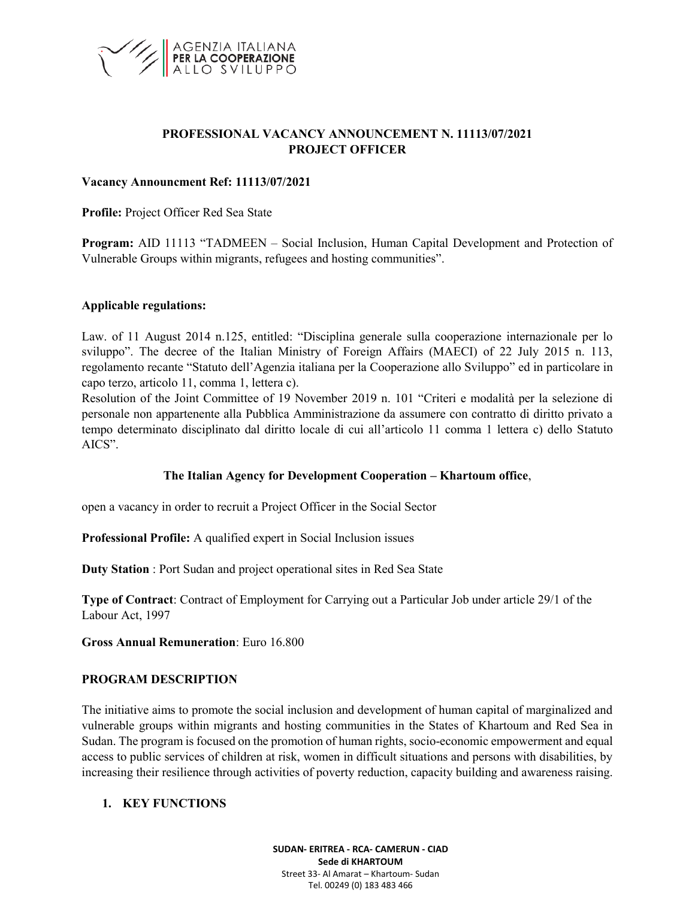

## **PROFESSIONAL VACANCY ANNOUNCEMENT N. 11113/07/2021 PROJECT OFFICER**

#### **Vacancy Announcment Ref: 11113/07/2021**

**Profile:** Project Officer Red Sea State

**Program:** AID 11113 "TADMEEN – Social Inclusion, Human Capital Development and Protection of Vulnerable Groups within migrants, refugees and hosting communities".

#### **Applicable regulations:**

Law. of 11 August 2014 n.125, entitled: "Disciplina generale sulla cooperazione internazionale per lo sviluppo". The decree of the Italian Ministry of Foreign Affairs (MAECI) of 22 July 2015 n. 113, regolamento recante "Statuto dell'Agenzia italiana per la Cooperazione allo Sviluppo" ed in particolare in capo terzo, articolo 11, comma 1, lettera c).

Resolution of the Joint Committee of 19 November 2019 n. 101 "Criteri e modalità per la selezione di personale non appartenente alla Pubblica Amministrazione da assumere con contratto di diritto privato a tempo determinato disciplinato dal diritto locale di cui all'articolo 11 comma 1 lettera c) dello Statuto AICS".

### **The Italian Agency for Development Cooperation – Khartoum office**,

open a vacancy in order to recruit a Project Officer in the Social Sector

**Professional Profile:** A qualified expert in Social Inclusion issues

**Duty Station** : Port Sudan and project operational sites in Red Sea State

**Type of Contract**: Contract of Employment for Carrying out a Particular Job under article 29/1 of the Labour Act, 1997

**Gross Annual Remuneration**: Euro 16.800

#### **PROGRAM DESCRIPTION**

The initiative aims to promote the social inclusion and development of human capital of marginalized and vulnerable groups within migrants and hosting communities in the States of Khartoum and Red Sea in Sudan. The program is focused on the promotion of human rights, socio-economic empowerment and equal access to public services of children at risk, women in difficult situations and persons with disabilities, by increasing their resilience through activities of poverty reduction, capacity building and awareness raising.

### **1. KEY FUNCTIONS**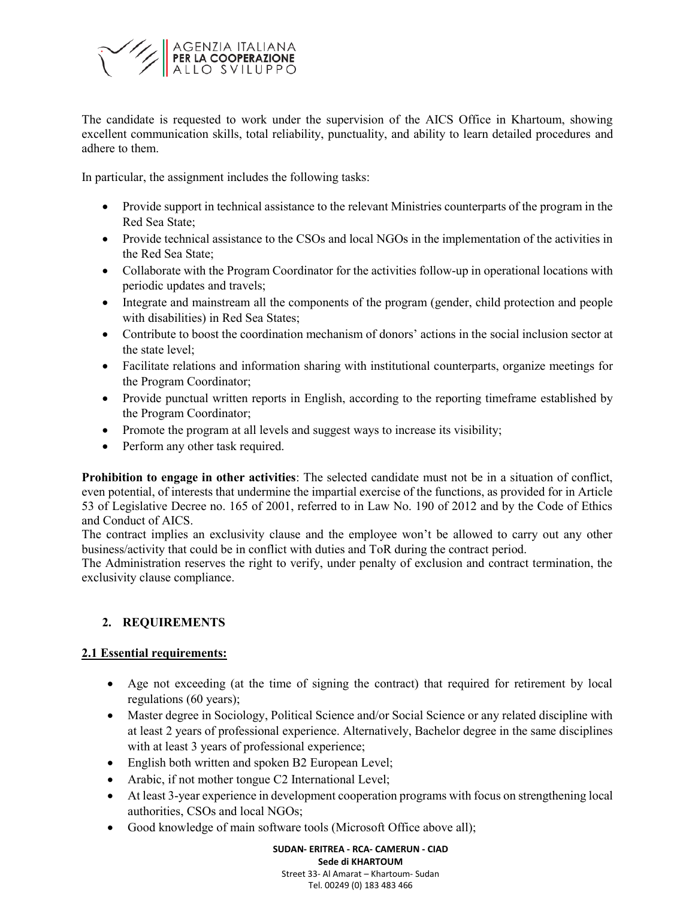

The candidate is requested to work under the supervision of the AICS Office in Khartoum, showing excellent communication skills, total reliability, punctuality, and ability to learn detailed procedures and adhere to them.

In particular, the assignment includes the following tasks:

- Provide support in technical assistance to the relevant Ministries counterparts of the program in the Red Sea State;
- Provide technical assistance to the CSOs and local NGOs in the implementation of the activities in the Red Sea State;
- Collaborate with the Program Coordinator for the activities follow-up in operational locations with periodic updates and travels;
- Integrate and mainstream all the components of the program (gender, child protection and people with disabilities) in Red Sea States;
- Contribute to boost the coordination mechanism of donors' actions in the social inclusion sector at the state level;
- Facilitate relations and information sharing with institutional counterparts, organize meetings for the Program Coordinator;
- Provide punctual written reports in English, according to the reporting timeframe established by the Program Coordinator;
- Promote the program at all levels and suggest ways to increase its visibility;
- Perform any other task required.

**Prohibition to engage in other activities**: The selected candidate must not be in a situation of conflict, even potential, of interests that undermine the impartial exercise of the functions, as provided for in Article 53 of Legislative Decree no. 165 of 2001, referred to in Law No. 190 of 2012 and by the Code of Ethics and Conduct of AICS.

The contract implies an exclusivity clause and the employee won't be allowed to carry out any other business/activity that could be in conflict with duties and ToR during the contract period.

The Administration reserves the right to verify, under penalty of exclusion and contract termination, the exclusivity clause compliance.

# **2. REQUIREMENTS**

## **2.1 Essential requirements:**

- Age not exceeding (at the time of signing the contract) that required for retirement by local regulations (60 years);
- Master degree in Sociology, Political Science and/or Social Science or any related discipline with at least 2 years of professional experience. Alternatively, Bachelor degree in the same disciplines with at least 3 years of professional experience;
- English both written and spoken B2 European Level;
- Arabic, if not mother tongue C2 International Level;
- At least 3-year experience in development cooperation programs with focus on strengthening local authorities, CSOs and local NGOs;
- Good knowledge of main software tools (Microsoft Office above all);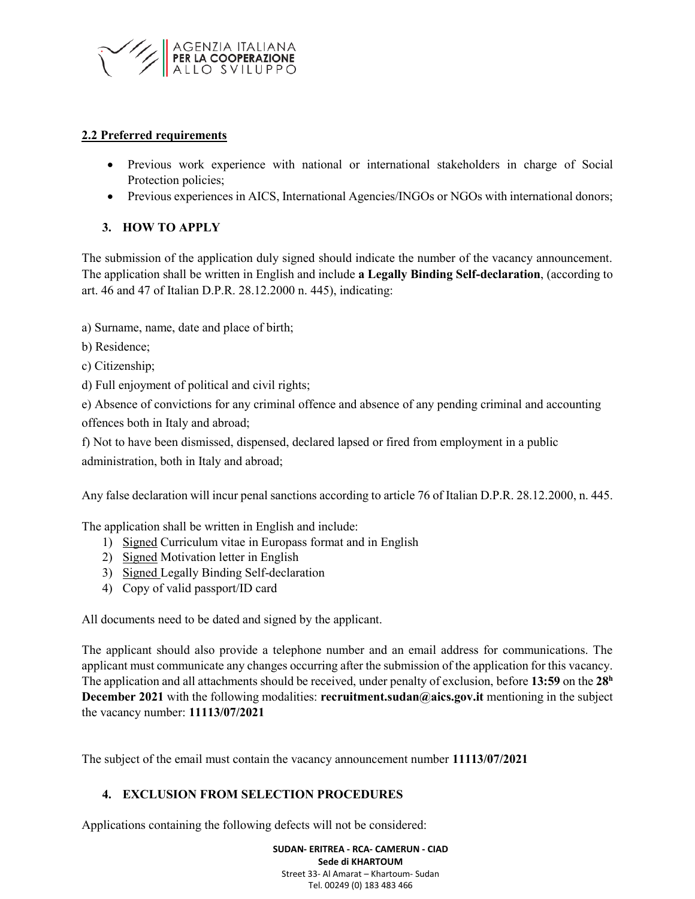

## **2.2 Preferred requirements**

- Previous work experience with national or international stakeholders in charge of Social Protection policies;
- Previous experiences in AICS, International Agencies/INGOs or NGOs with international donors;

## **3. HOW TO APPLY**

The submission of the application duly signed should indicate the number of the vacancy announcement. The application shall be written in English and include **a Legally Binding Self-declaration**, (according to art. 46 and 47 of Italian D.P.R. 28.12.2000 n. 445), indicating:

a) Surname, name, date and place of birth;

- b) Residence;
- c) Citizenship;
- d) Full enjoyment of political and civil rights;

e) Absence of convictions for any criminal offence and absence of any pending criminal and accounting offences both in Italy and abroad;

f) Not to have been dismissed, dispensed, declared lapsed or fired from employment in a public administration, both in Italy and abroad;

Any false declaration will incur penal sanctions according to article 76 of Italian D.P.R. 28.12.2000, n. 445.

The application shall be written in English and include:

- 1) Signed Curriculum vitae in Europass format and in English
- 2) Signed Motivation letter in English
- 3) Signed Legally Binding Self-declaration
- 4) Copy of valid passport/ID card

All documents need to be dated and signed by the applicant.

The applicant should also provide a telephone number and an email address for communications. The applicant must communicate any changes occurring after the submission of the application for this vacancy. The application and all attachments should be received, under penalty of exclusion, before **13:59** on the **28 h December 2021** with the following modalities: **recruitment.sudan@aics.gov.it** mentioning in the subject the vacancy number: **11113/07/2021**

The subject of the email must contain the vacancy announcement number **11113/07/2021**

## **4. EXCLUSION FROM SELECTION PROCEDURES**

Applications containing the following defects will not be considered: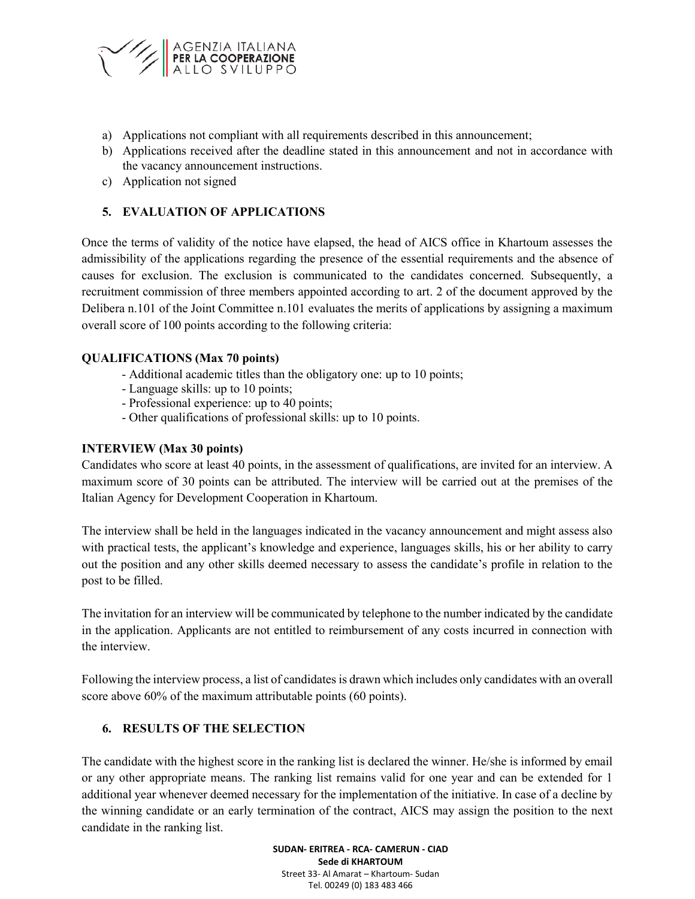

- a) Applications not compliant with all requirements described in this announcement;
- b) Applications received after the deadline stated in this announcement and not in accordance with the vacancy announcement instructions.
- c) Application not signed

## **5. EVALUATION OF APPLICATIONS**

Once the terms of validity of the notice have elapsed, the head of AICS office in Khartoum assesses the admissibility of the applications regarding the presence of the essential requirements and the absence of causes for exclusion. The exclusion is communicated to the candidates concerned. Subsequently, a recruitment commission of three members appointed according to art. 2 of the document approved by the Delibera n.101 of the Joint Committee n.101 evaluates the merits of applications by assigning a maximum overall score of 100 points according to the following criteria:

## **QUALIFICATIONS (Max 70 points)**

- Additional academic titles than the obligatory one: up to 10 points;
- Language skills: up to 10 points;
- Professional experience: up to 40 points;
- Other qualifications of professional skills: up to 10 points.

### **INTERVIEW (Max 30 points)**

Candidates who score at least 40 points, in the assessment of qualifications, are invited for an interview. A maximum score of 30 points can be attributed. The interview will be carried out at the premises of the Italian Agency for Development Cooperation in Khartoum.

The interview shall be held in the languages indicated in the vacancy announcement and might assess also with practical tests, the applicant's knowledge and experience, languages skills, his or her ability to carry out the position and any other skills deemed necessary to assess the candidate's profile in relation to the post to be filled.

The invitation for an interview will be communicated by telephone to the number indicated by the candidate in the application. Applicants are not entitled to reimbursement of any costs incurred in connection with the interview.

Following the interview process, a list of candidates is drawn which includes only candidates with an overall score above 60% of the maximum attributable points (60 points).

## **6. RESULTS OF THE SELECTION**

The candidate with the highest score in the ranking list is declared the winner. He/she is informed by email or any other appropriate means. The ranking list remains valid for one year and can be extended for 1 additional year whenever deemed necessary for the implementation of the initiative. In case of a decline by the winning candidate or an early termination of the contract, AICS may assign the position to the next candidate in the ranking list.